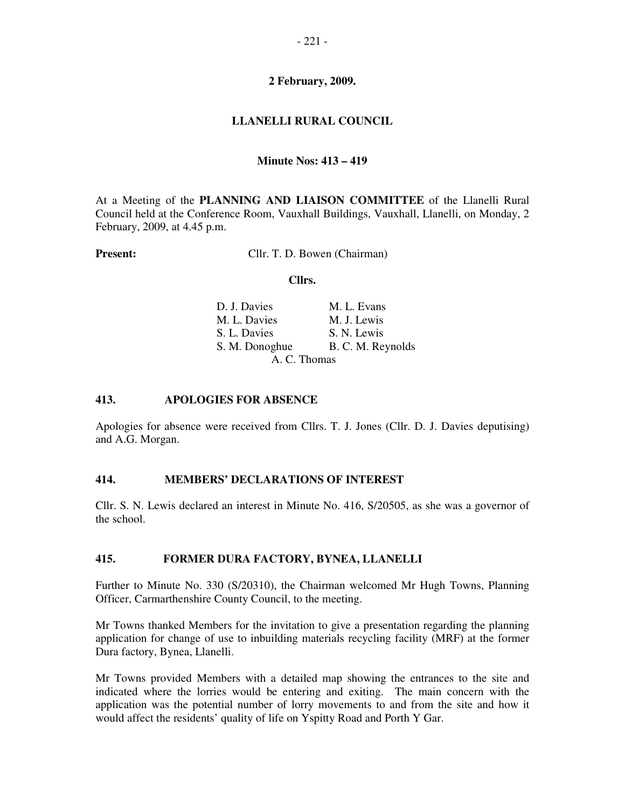# **LLANELLI RURAL COUNCIL**

## **Minute Nos: 413 – 419**

At a Meeting of the **PLANNING AND LIAISON COMMITTEE** of the Llanelli Rural Council held at the Conference Room, Vauxhall Buildings, Vauxhall, Llanelli, on Monday, 2 February, 2009, at 4.45 p.m.

**Present:** Cllr. T. D. Bowen (Chairman)

#### **Cllrs.**

| D. J. Davies   | M. L. Evans       |
|----------------|-------------------|
| M. L. Davies   | M. J. Lewis       |
| S. L. Davies   | S. N. Lewis       |
| S. M. Donoghue | B. C. M. Reynolds |
|                | A. C. Thomas      |

#### **413. APOLOGIES FOR ABSENCE**

Apologies for absence were received from Cllrs. T. J. Jones (Cllr. D. J. Davies deputising) and A.G. Morgan.

## **414. MEMBERS' DECLARATIONS OF INTEREST**

Cllr. S. N. Lewis declared an interest in Minute No. 416, S/20505, as she was a governor of the school.

#### **415. FORMER DURA FACTORY, BYNEA, LLANELLI**

Further to Minute No. 330 (S/20310), the Chairman welcomed Mr Hugh Towns, Planning Officer, Carmarthenshire County Council, to the meeting.

Mr Towns thanked Members for the invitation to give a presentation regarding the planning application for change of use to inbuilding materials recycling facility (MRF) at the former Dura factory, Bynea, Llanelli.

Mr Towns provided Members with a detailed map showing the entrances to the site and indicated where the lorries would be entering and exiting. The main concern with the application was the potential number of lorry movements to and from the site and how it would affect the residents' quality of life on Yspitty Road and Porth Y Gar.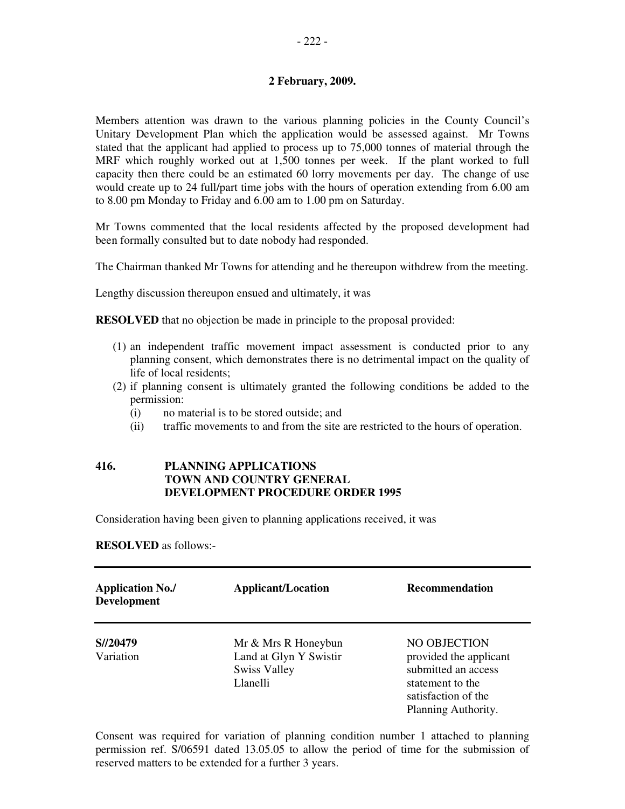Members attention was drawn to the various planning policies in the County Council's Unitary Development Plan which the application would be assessed against. Mr Towns stated that the applicant had applied to process up to 75,000 tonnes of material through the MRF which roughly worked out at 1,500 tonnes per week. If the plant worked to full capacity then there could be an estimated 60 lorry movements per day. The change of use would create up to 24 full/part time jobs with the hours of operation extending from 6.00 am to 8.00 pm Monday to Friday and 6.00 am to 1.00 pm on Saturday.

Mr Towns commented that the local residents affected by the proposed development had been formally consulted but to date nobody had responded.

The Chairman thanked Mr Towns for attending and he thereupon withdrew from the meeting.

Lengthy discussion thereupon ensued and ultimately, it was

**RESOLVED** that no objection be made in principle to the proposal provided:

- (1) an independent traffic movement impact assessment is conducted prior to any planning consent, which demonstrates there is no detrimental impact on the quality of life of local residents;
- (2) if planning consent is ultimately granted the following conditions be added to the permission:
	- (i) no material is to be stored outside; and
	- (ii) traffic movements to and from the site are restricted to the hours of operation.

## **416. PLANNING APPLICATIONS TOWN AND COUNTRY GENERAL DEVELOPMENT PROCEDURE ORDER 1995**

Consideration having been given to planning applications received, it was

**RESOLVED** as follows:-

| <b>Application No./</b><br><b>Development</b> | <b>Applicant/Location</b>                                                        | <b>Recommendation</b>                                                                                                           |
|-----------------------------------------------|----------------------------------------------------------------------------------|---------------------------------------------------------------------------------------------------------------------------------|
| S//20479<br>Variation                         | Mr & Mrs R Honeybun<br>Land at Glyn Y Swistir<br><b>Swiss Valley</b><br>Llanelli | NO OBJECTION<br>provided the applicant<br>submitted an access<br>statement to the<br>satisfaction of the<br>Planning Authority. |

Consent was required for variation of planning condition number 1 attached to planning permission ref. S/06591 dated 13.05.05 to allow the period of time for the submission of reserved matters to be extended for a further 3 years.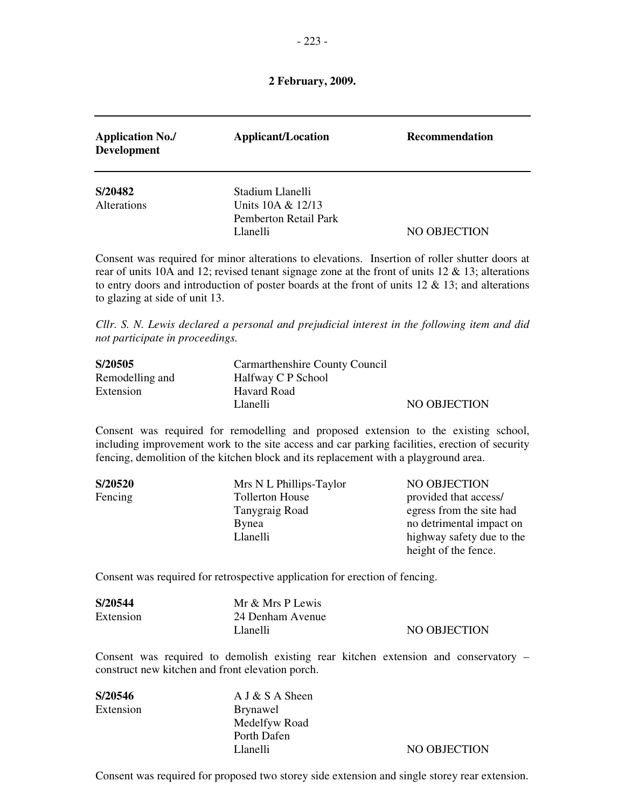| <b>Application No./</b><br><b>Development</b> | <b>Applicant/Location</b>                              | <b>Recommendation</b> |
|-----------------------------------------------|--------------------------------------------------------|-----------------------|
| S/20482                                       | Stadium Llanelli                                       |                       |
| Alterations                                   | Units 10A & 12/13<br>Pemberton Retail Park<br>Llanelli | NO OBJECTION          |

Consent was required for minor alterations to elevations. Insertion of roller shutter doors at rear of units 10A and 12; revised tenant signage zone at the front of units 12 & 13; alterations to entry doors and introduction of poster boards at the front of units  $12 \& 13$ ; and alterations to glazing at side of unit 13.

*Cllr. S. N. Lewis declared a personal and prejudicial interest in the following item and did not participate in proceedings.* 

| S/20505         | Carmarthenshire County Council |              |
|-----------------|--------------------------------|--------------|
| Remodelling and | Halfway C P School             |              |
| Extension       | Havard Road                    |              |
|                 | Llanelli                       | NO OBJECTION |

Consent was required for remodelling and proposed extension to the existing school, including improvement work to the site access and car parking facilities, erection of security fencing, demolition of the kitchen block and its replacement with a playground area.

| S/20520 | Mrs N L Phillips-Taylor | NO OBJECTION              |
|---------|-------------------------|---------------------------|
| Fencing | <b>Tollerton House</b>  | provided that access/     |
|         | Tanygraig Road          | egress from the site had  |
|         | Bynea                   | no detrimental impact on  |
|         | Llanelli                | highway safety due to the |
|         |                         | height of the fence.      |

Consent was required for retrospective application for erection of fencing.

| S/20544   | Mr & Mrs P Lewis |              |
|-----------|------------------|--------------|
| Extension | 24 Denham Avenue |              |
|           | Llanelli         | NO OBJECTION |

Consent was required to demolish existing rear kitchen extension and conservatory – construct new kitchen and front elevation porch.

| S/20546   | $A J & S A$ Sheen |   |
|-----------|-------------------|---|
| Extension | <b>Brynawel</b>   |   |
|           | Medelfyw Road     |   |
|           | Porth Dafen       |   |
|           | Llanelli          | N |

IO OBJECTION

Consent was required for proposed two storey side extension and single storey rear extension.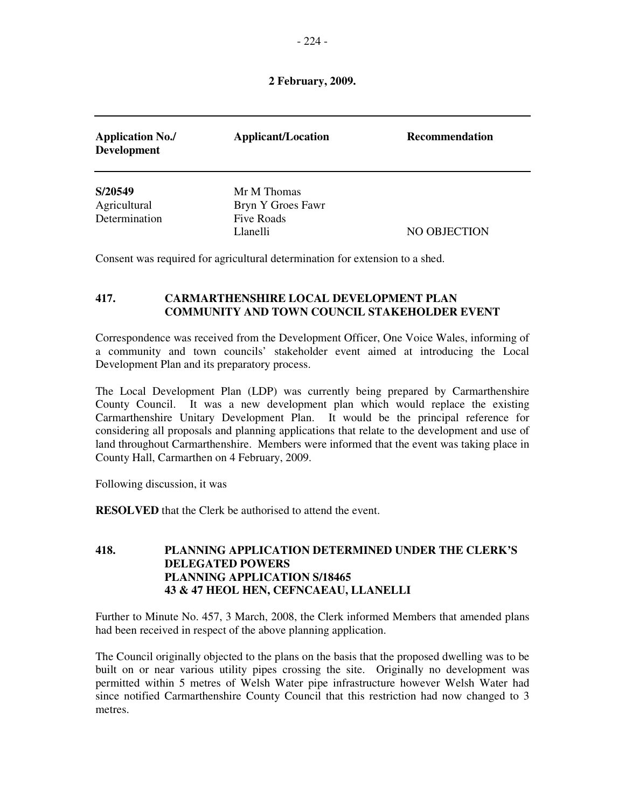| <b>Application No./</b><br><b>Development</b> | <b>Applicant/Location</b>        | <b>Recommendation</b> |
|-----------------------------------------------|----------------------------------|-----------------------|
| S/20549<br>Agricultural                       | Mr M Thomas<br>Bryn Y Groes Fawr |                       |
| Determination                                 | Five Roads<br>Llanelli           | NO OBJECTION          |

Consent was required for agricultural determination for extension to a shed.

# **417. CARMARTHENSHIRE LOCAL DEVELOPMENT PLAN COMMUNITY AND TOWN COUNCIL STAKEHOLDER EVENT**

Correspondence was received from the Development Officer, One Voice Wales, informing of a community and town councils' stakeholder event aimed at introducing the Local Development Plan and its preparatory process.

The Local Development Plan (LDP) was currently being prepared by Carmarthenshire County Council. It was a new development plan which would replace the existing Carmarthenshire Unitary Development Plan. It would be the principal reference for considering all proposals and planning applications that relate to the development and use of land throughout Carmarthenshire. Members were informed that the event was taking place in County Hall, Carmarthen on 4 February, 2009.

Following discussion, it was

**RESOLVED** that the Clerk be authorised to attend the event.

## **418. PLANNING APPLICATION DETERMINED UNDER THE CLERK'S DELEGATED POWERS PLANNING APPLICATION S/18465 43 & 47 HEOL HEN, CEFNCAEAU, LLANELLI**

Further to Minute No. 457, 3 March, 2008, the Clerk informed Members that amended plans had been received in respect of the above planning application.

The Council originally objected to the plans on the basis that the proposed dwelling was to be built on or near various utility pipes crossing the site. Originally no development was permitted within 5 metres of Welsh Water pipe infrastructure however Welsh Water had since notified Carmarthenshire County Council that this restriction had now changed to 3 metres.